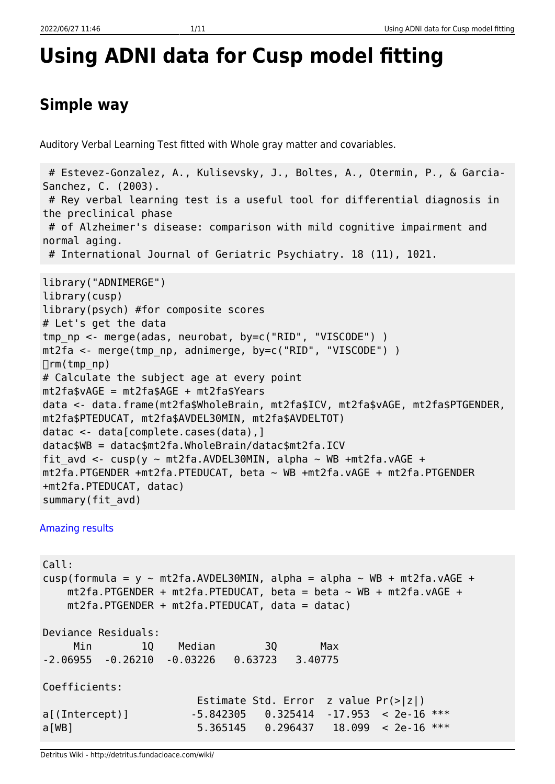# **Using ADNI data for Cusp model fitting**

# **Simple way**

Auditory Verbal Learning Test fitted with Whole gray matter and covariables.

```
 # Estevez-Gonzalez, A., Kulisevsky, J., Boltes, A., Otermin, P., & Garcia-
Sanchez, C. (2003).
  # Rey verbal learning test is a useful tool for differential diagnosis in
the preclinical phase
 # of Alzheimer's disease: comparison with mild cognitive impairment and
normal aging.
  # International Journal of Geriatric Psychiatry. 18 (11), 1021.
library("ADNIMERGE")
library(cusp)
library(psych) #for composite scores
# Let's get the data
tmp np <- merge(adas, neurobat, by=c("RID", "VISCODE") )
mt2fa <- merge(tmp_np, adnimerge, by=c("RID", "VISCODE") )
\Boxrm(tmp_np)
# Calculate the subject age at every point
mt2fa$vAGE = mt2fa$AGE + mt2fa$Years
data <- data.frame(mt2fa$WholeBrain, mt2fa$ICV, mt2fa$vAGE, mt2fa$PTGENDER,
mt2fa$PTEDUCAT, mt2fa$AVDEL30MIN, mt2fa$AVDELTOT)
datac <- data[complete.cases(data),]
datac$WB = datac$mt2fa.WholeBrain/datac$mt2fa.ICV
fit avd <- cusp(y ~ mt2fa.AVDEL30MIN, alpha ~ WB +mt2fa.vAGE +
mt2fa.PTGENDER +mt2fa.PTEDUCAT, beta ~ WB +mt2fa.vAGE + mt2fa.PTGENDER
+mt2fa.PTEDUCAT, datac)
summary(fit_avd)
```
#### [Amazing results](#page--1-0)

Call: cusp(formula =  $y \sim m \frac{t^2}{a}$ . AVDEL30MIN, alpha = alpha  $\sim$  WB + mt2fa.vAGE +  $mt2fa.PTGENDER + mt2fa.PTEDUCAT, beta = beta ~ WB + mt2fa.vAGE +$  mt2fa.PTGENDER + mt2fa.PTEDUCAT, data = datac) Deviance Residuals: Min 1Q Median 3Q Max -2.06955 -0.26210 -0.03226 0.63723 3.40775 Coefficients: Estimate Std. Error z value Pr(>|z|) a[(Intercept)] -5.842305 0.325414 -17.953 < 2e-16 \*\*\* a[WB] 5.365145 0.296437 18.099 < 2e-16 \*\*\*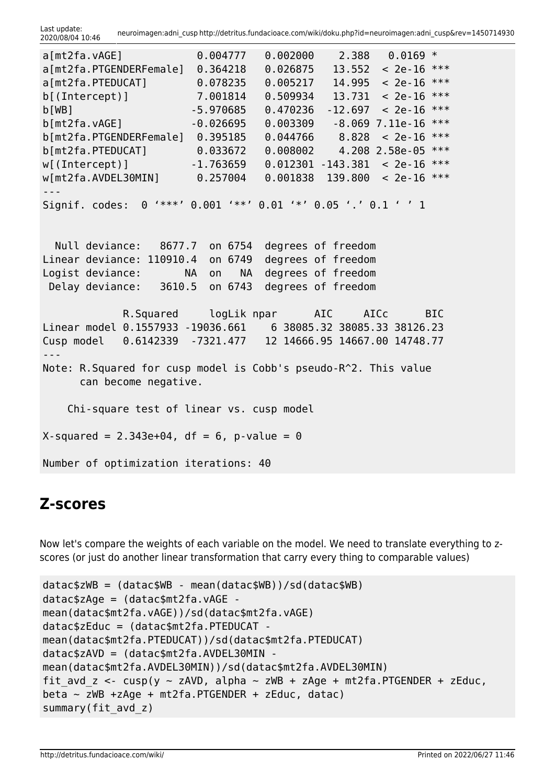| a[mt2fa.vAGE]                                                                                            | 0.004777                                           | 0.002000                                                                             | 2.388                | $0.0169$ * |            |
|----------------------------------------------------------------------------------------------------------|----------------------------------------------------|--------------------------------------------------------------------------------------|----------------------|------------|------------|
| a[mt2fa.PTGENDERFemale]                                                                                  | 0.364218                                           | 0.026875                                                                             | 13.552               | $< 2e-16$  | $***$      |
| a[mt2fa.PTEDUCAT]                                                                                        | 0.078235                                           | 0.005217                                                                             | 14.995               | $< 2e-16$  | ***        |
| b[(Intercept)]                                                                                           | 7.001814                                           | 0.509934                                                                             | 13.731               | $< 2e-16$  | $***$      |
|                                                                                                          | $-5.970685$                                        | 0.470236                                                                             | $-12.697$            | $< 2e-16$  | $***$      |
| b[WB]                                                                                                    |                                                    |                                                                                      |                      |            | $***$      |
| b[mt2fa.vAGE]                                                                                            | $-0.026695$                                        | 0.003309                                                                             | $-8.069$ 7.11e $-16$ |            |            |
| b[mt2fa.PTGENDERFemale] 0.395185                                                                         |                                                    | 0.044766                                                                             | 8.828                | $< 2e-16$  | $***$      |
| b[mt2fa.PTEDUCAT]                                                                                        | 0.033672                                           | 0.008002                                                                             | 4.208 2.58e-05       |            | $***$      |
| w[(Intercept)]                                                                                           | $-1.763659$                                        | 0.012301                                                                             | $-143.381$           | $< 2e-16$  | $***$      |
| $w[mt2fa.AVDEL30MIN]$ 0.257004                                                                           |                                                    | 0.001838                                                                             | 139.800              | $< 2e-16$  | $***$      |
|                                                                                                          |                                                    |                                                                                      |                      |            |            |
| Signif. codes:                                                                                           | 0 '***' 0.001 '**' 0.01 '*' 0.05 '.' 0.1 ' ' 1     |                                                                                      |                      |            |            |
| Null deviance: 8677.7 on 6754<br>Linear deviance: 110910.4<br>Logist deviance:<br>Delay deviance: 3610.5 | on 6749<br><b>NA</b><br><b>NA</b><br>on<br>on 6743 | degrees of freedom<br>degrees of freedom<br>degrees of freedom<br>degrees of freedom |                      |            |            |
|                                                                                                          | R.Squared logLik npar AIC                          |                                                                                      | AICc                 |            | <b>BIC</b> |
| Linear model 0.1557933 -19036.661    6 38085.32 38085.33 38126.23                                        |                                                    |                                                                                      |                      |            |            |
| Cusp model 0.6142339 -7321.477 12 14666.95 14667.00 14748.77                                             |                                                    |                                                                                      |                      |            |            |
| Note: R. Squared for cusp model is Cobb's pseudo-R^2. This value<br>can become negative.                 |                                                    |                                                                                      |                      |            |            |
| Chi-square test of linear vs. cusp model                                                                 |                                                    |                                                                                      |                      |            |            |
| $X$ -squared = 2.343e+04, df = 6, p-value = 0                                                            |                                                    |                                                                                      |                      |            |            |
| Number of optimization iterations: 40                                                                    |                                                    |                                                                                      |                      |            |            |

### **Z-scores**

Now let's compare the weights of each variable on the model. We need to translate everything to zscores (or just do another linear transformation that carry every thing to comparable values)

```
datac$zWB = (datac$WB - mean(datac$WB))/sd(datac$WB)
datac$zAge = (datac$mt2fa.vAGE -
mean(datac$mt2fa.vAGE))/sd(datac$mt2fa.vAGE)
datac$zEduc = (datac$mt2fa.PTEDUCAT -
mean(datac$mt2fa.PTEDUCAT))/sd(datac$mt2fa.PTEDUCAT)
datac$zAVD = (datac$mt2fa.AVDEL30MIN -
mean(datac$mt2fa.AVDEL30MIN))/sd(datac$mt2fa.AVDEL30MIN)
fit avd z \leq -cusp(y \sim zAVD, alpha \sim zWB + zAge + mt2fa.PTGENDER + zEduc,beta \sim zWB +zAge + mt2fa.PTGENDER + zEduc, datac)
summary(fit avd z)
```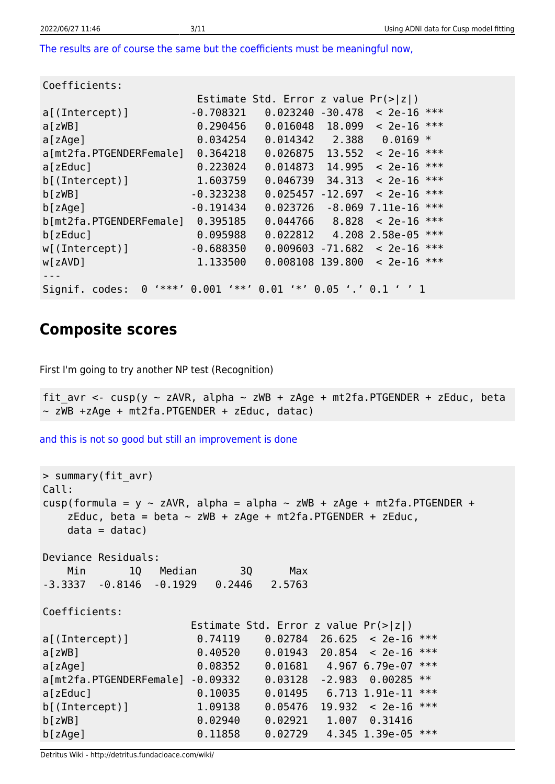[The results are of course the same but the coefficients must be meaningful now,](#page--1-0)

| Coefficients:                         |                    |                                        |                  |                       |
|---------------------------------------|--------------------|----------------------------------------|------------------|-----------------------|
|                                       |                    | Estimate Std. Error z value $Pr(> z )$ |                  |                       |
| $a$ [(Intercept)]                     | $-0.708321$        | 0.023240                               | $-30.478$        | $< 2e-16$ ***         |
| $a$ [ zWB]                            | 0.290456           | 0.016048                               | 18.099           | ***<br>$< 2e-16$      |
| a[zAge]                               | 0.034254           | 0.014342                               | 2.388            | $0.0169$ *            |
| a[mt2fa.PTGENDERFemale]               | 0.364218           | 0.026875                               | 13,552           | ***<br>$< 2e-16$      |
| a[zEduc]                              | 0.223024           | 0.014873                               | 14.995           | ***<br>$< 2e-16$      |
| $b$ [(Intercept)]                     | 1.603759           | 0.046739                               | 34,313           | ***<br>$< 2e-16$      |
| b[zwB]                                | $-0.323238$        | 0.025457                               | $-12.697$        | ***<br>$< 2e-16$      |
| b[zAge]                               | $-0.191434$        | 0.023726                               | $-8.069$         | ***<br>7.11e-16       |
| b[mt2fa.PTGENDERFemale]               | 0.395185           | 0.044766                               | 8.828            | ***<br>$< 2e-16$      |
| b[zeluc]                              | 0.095988           | 0.022812                               |                  | ***<br>4.208 2.58e-05 |
| $w[$ (Intercept)]                     | $-0.688350$        | 0.009603                               | $-71.682$        | ***<br>$< 2e-16$      |
| w[zAVD]                               | 1.133500           | 0.008108 139.800                       |                  | ***<br>$< 2e-16$      |
|                                       |                    |                                        |                  |                       |
| $1***1$<br>Signif. codes:<br>$\Theta$ | $4 * * 1$<br>0.001 | $4 * 1$<br>0.01                        | $0.05$ '.' $0.1$ |                       |

### **Composite scores**

First I'm going to try another NP test (Recognition)

fit avr <- cusp(y ~ zAVR, alpha ~ zWB + zAge + mt2fa.PTGENDER + zEduc, beta ~ zWB +zAge + mt2fa.PTGENDER + zEduc, datac)

[and this is not so good but still an improvement is done](#page--1-0)

```
> summary(fit_avr)
Call:
cusp(formula = y \sim zAVR, alpha = alpha \sim zWB + zAge + mt2fa.PTGENDER +
   zEduc, beta = beta \sim zWB + zAge + mt2fa.PTGENDER + zEduc,
   data = data)
Deviance Residuals:
    Min 1Q Median 3Q Max
-3.3337 -0.8146 -0.1929 0.2446 2.5763
Coefficients:
                    Estimate Std. Error z value Pr(>|z|)
a[(Intercept)] 0.74119 0.02784 26.625 < 2e-16 ***
a[zWB] 0.40520 0.01943 20.854 < 2e-16 ***
a[zAge] 0.08352 0.01681 4.967 6.79e-07 ***
a[mt2fa.PTGENDERFemale] -0.09332 0.03128 -2.983 0.00285 **
a[zEduc] 0.10035 0.01495 6.713 1.91e-11 ***
b[(Intercept)] 1.09138 0.05476 19.932 < 2e-16 ***
b[zWB] 0.02940 0.02921 1.007 0.31416
b[zAge] 0.11858 0.02729 4.345 1.39e-05 ***
```
Detritus Wiki - http://detritus.fundacioace.com/wiki/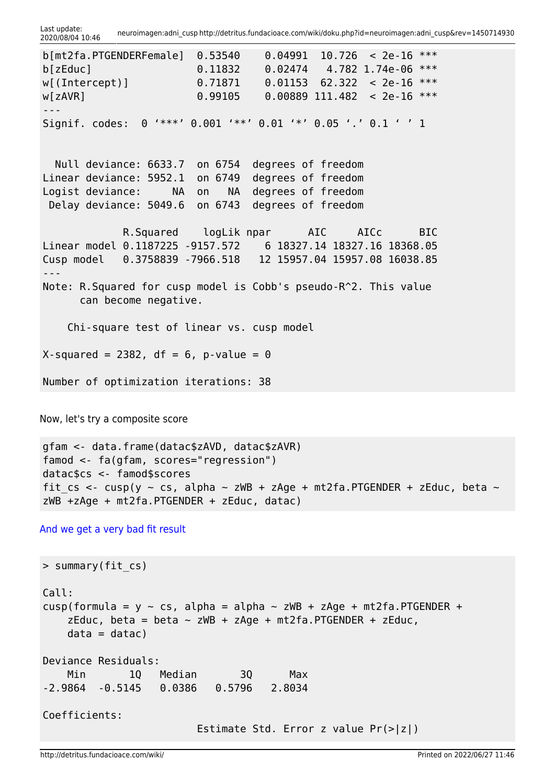```
b[mt2fa.PTGENDERFemale] 0.53540 0.04991 10.726 < 2e-16 ***
b[zEduc] 0.11832 0.02474 4.782 1.74e-06 ***
w[(Intercept)] 0.71871 0.01153 62.322 < 2e-16 ***
w[zAVR] 0.99105 0.00889 111.482 < 2e-16 ***
---
Signif. codes: 0 '***' 0.001 '**' 0.01 '*' 0.05 '.' 0.1 ' ' 1
  Null deviance: 6633.7 on 6754 degrees of freedom
Linear deviance: 5952.1 on 6749 degrees of freedom
Logist deviance: NA on NA degrees of freedom
 Delay deviance: 5049.6 on 6743 degrees of freedom
            R.Squared logLik npar AIC AICc BIC
Linear model 0.1187225 -9157.572 6 18327.14 18327.16 18368.05
Cusp model 0.3758839 -7966.518 12 15957.04 15957.08 16038.85
---
Note: R.Squared for cusp model is Cobb's pseudo-R^2. This value
      can become negative.
    Chi-square test of linear vs. cusp model
X-squared = 2382, df = 6, p-value = 0
Number of optimization iterations: 38
```
Now, let's try a composite score

```
gfam <- data.frame(datac$zAVD, datac$zAVR)
famod <- fa(gfam, scores="regression")
datac$cs <- famod$scores
fit cs <- cusp(y ~ cs, alpha ~ zWB + zAge + mt2fa.PTGENDER + zEduc, beta ~
zWB +zAge + mt2fa.PTGENDER + zEduc, datac)
```
[And we get a very bad fit result](#page--1-0)

```
> summary(fit_cs)
Call:
cusp(formula = y \sim cs, alpha = alpha \sim zWB + zAge + mt2fa.PTGENDER +
   zEduc, beta = beta \sim zWB + zAge + mt2fa.PTGENDER + zEduc,
   data = data)
Deviance Residuals:
    Min 1Q Median 3Q Max
-2.9864 -0.5145 0.0386 0.5796 2.8034
Coefficients:
                         Estimate Std. Error z value Pr(>|z|)
```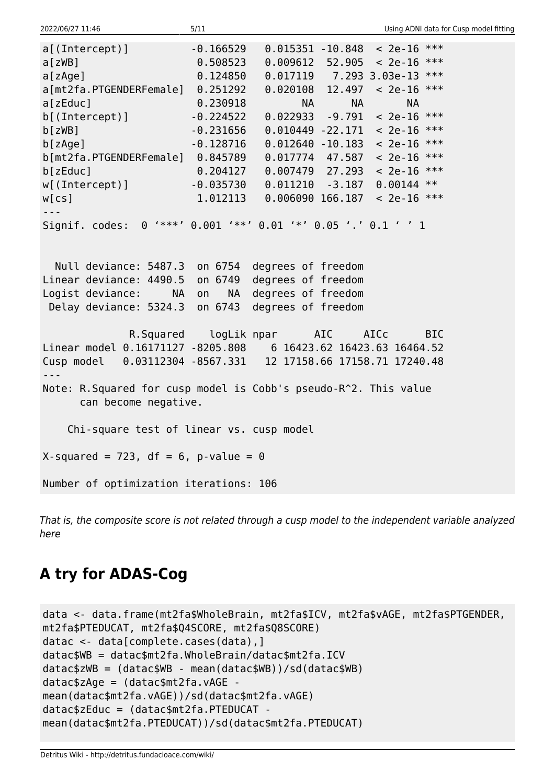| 2022/06/27 11:46                                                  | 5/11               |                                                          |                        | Using ADNI data for Cusp model fitting |  |
|-------------------------------------------------------------------|--------------------|----------------------------------------------------------|------------------------|----------------------------------------|--|
| a[(Intercept)]                                                    | $-0.166529$        |                                                          |                        | $0.015351 - 10.848 < 2e-16$ ***        |  |
| a[zWB]                                                            | 0.508523           | $0.009612$ 52.905                                        |                        | $< 2e-16$ ***                          |  |
| a[zAge]                                                           | 0.124850           |                                                          |                        | $0.017119$ 7.293 3.03e-13 ***          |  |
| a[mt2fa.PTGENDERFemale] 0.251292                                  |                    |                                                          |                        | $0.020108$ 12.497 < 2e-16 ***          |  |
| a[zEduc]                                                          | 0.230918           |                                                          | <b>NA</b><br><b>NA</b> | <b>NA</b>                              |  |
| b[(Intercept)]                                                    | $-0.224522$        | $0.022933 - 9.791$                                       |                        | $< 2e-16$ ***                          |  |
| b[zwB]                                                            | $-0.231656$        | $0.010449 - 22.171$                                      |                        | $< 2e-16$ ***                          |  |
| b[ZAge]                                                           | $-0.128716$        | $0.012640 - 10.183$                                      |                        | $< 2e-16$ ***                          |  |
| b[mt2fa.PTGENDERFemale] 0.845789                                  |                    |                                                          |                        | $0.017774$ 47.587 < 2e-16 ***          |  |
| b[zeluc]                                                          | 0.204127           |                                                          |                        | $0.007479$ 27.293 < 2e-16 ***          |  |
| w[(Intercept)]                                                    |                    | $-0.035730$ $0.011210$ $-3.187$                          |                        | $0.00144$ **                           |  |
| W[CS]                                                             | 1.012113           | 0.006090 166.187                                         |                        | $< 2e-16$ ***                          |  |
| $- - -$                                                           |                    |                                                          |                        |                                        |  |
| Signif. codes:                                                    |                    | $0$ '***' $0.001$ '**' $0.01$ '*' $0.05$ '.' $0.1$ ' ' 1 |                        |                                        |  |
|                                                                   |                    |                                                          |                        |                                        |  |
|                                                                   |                    |                                                          |                        |                                        |  |
| Null deviance: 5487.3 on 6754 degrees of freedom                  |                    |                                                          |                        |                                        |  |
| Linear deviance: 4490.5 on 6749                                   |                    | degrees of freedom                                       |                        |                                        |  |
| Logist deviance:                                                  | NA on<br><b>NA</b> | degrees of freedom                                       |                        |                                        |  |
| Delay deviance: 5324.3 on 6743                                    |                    | degrees of freedom                                       |                        |                                        |  |
|                                                                   |                    |                                                          |                        |                                        |  |
|                                                                   |                    | R.Squared logLik npar AIC                                |                        | AICc<br><b>BIC</b>                     |  |
| Linear model 0.16171127 -8205.808    6 16423.62 16423.63 16464.52 |                    |                                                          |                        |                                        |  |
| Cusp model 0.03112304 -8567.331  12 17158.66 17158.71 17240.48    |                    |                                                          |                        |                                        |  |
| $- - -$                                                           |                    |                                                          |                        |                                        |  |
| Note: R. Squared for cusp model is Cobb's pseudo-R^2. This value  |                    |                                                          |                        |                                        |  |
| can become negative.                                              |                    |                                                          |                        |                                        |  |
|                                                                   |                    |                                                          |                        |                                        |  |
| Chi-square test of linear vs. cusp model                          |                    |                                                          |                        |                                        |  |
|                                                                   |                    |                                                          |                        |                                        |  |
| X-squared = 723, df = $6$ , p-value = $0$                         |                    |                                                          |                        |                                        |  |
|                                                                   |                    |                                                          |                        |                                        |  |
| Number of optimization iterations: 106                            |                    |                                                          |                        |                                        |  |

That is, the composite score is not related through a cusp model to the independent variable analyzed here

# **A try for ADAS-Cog**

```
data <- data.frame(mt2fa$WholeBrain, mt2fa$ICV, mt2fa$vAGE, mt2fa$PTGENDER,
mt2fa$PTEDUCAT, mt2fa$Q4SCORE, mt2fa$Q8SCORE)
datac <- data[complete.cases(data),]
datac$WB = datac$mt2fa.WholeBrain/datac$mt2fa.ICV
datac$zWB = (datac$WB - mean(datac$WB))/sd(datac$WB)
datac$zAge = (datac$mt2fa.vAGE -
mean(datac$mt2fa.vAGE))/sd(datac$mt2fa.vAGE)
datac$zEduc = (datac$mt2fa.PTEDUCAT -
mean(datac$mt2fa.PTEDUCAT))/sd(datac$mt2fa.PTEDUCAT)
```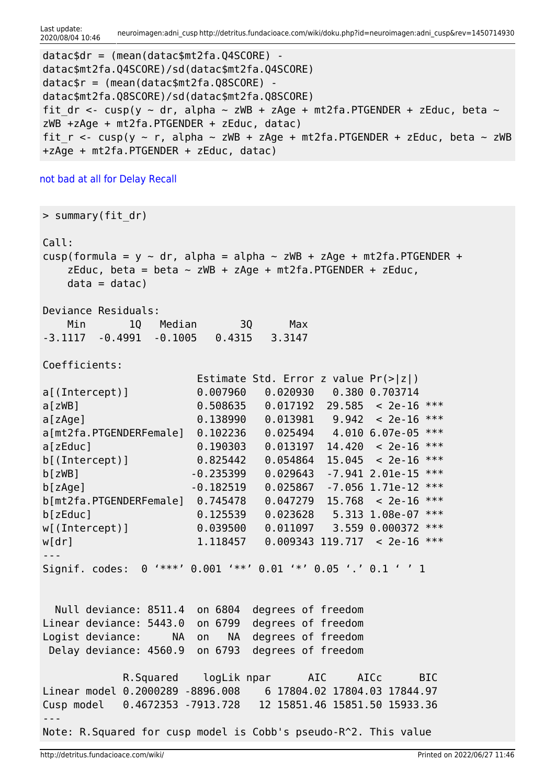```
datac$dr = (mean(datac$mt2fa.Q4SCORE) -
datac$mt2fa.Q4SCORE)/sd(datac$mt2fa.Q4SCORE)
datac$r = (mean(datac$mt2fa.Q8SCORE) -
datac$mt2fa.Q8SCORE)/sd(datac$mt2fa.Q8SCORE)
fit dr <- cusp(y ~ dr, alpha ~ zWB + zAge + mt2fa.PTGENDER + zEduc, beta ~
zWB +zAge + mt2fa.PTGENDER + zEduc, datac)
fit r < -cusp(y \sim r, alpha \sim zWB + zAge + mt2fa.PTGENDER + zEduc, beta \sim zWB+zAge + mt2fa.PTGENDER + zEduc, datac)
```
#### [not bad at all for Delay Recall](#page--1-0)

> summary(fit\_dr) Call: cusp(formula = y  $\sim$  dr, alpha = alpha  $\sim$  zWB + zAge + mt2fa.PTGENDER + zEduc, beta = beta  $\sim$  zWB + zAge + mt2fa.PTGENDER + zEduc,  $data = data$ ) Deviance Residuals: Min 1Q Median 3Q Max -3.1117 -0.4991 -0.1005 0.4315 3.3147 Coefficients: Estimate Std. Error z value Pr(>|z|) a[(Intercept)] 0.007960 0.020930 0.380 0.703714 a[zWB] 0.508635 0.017192 29.585 < 2e-16 \*\*\* a[zAge]  $0.138990 \t 0.013981 \t 9.942 < 2e-16$  \*\*\* a[mt2fa.PTGENDERFemale] 0.102236 0.025494 4.010 6.07e-05 \*\*\* a[zEduc] 0.190303 0.013197 14.420 < 2e-16 \*\*\*  $b[$ (Intercept)] 0.825442 0.054864 15.045 < 2e-16 \*\*\* b[zWB] -0.235399 0.029643 -7.941 2.01e-15 \*\*\*  $b[zAge]$  -0.182519 0.025867 -7.056 1.71e-12 \*\*\* b[mt2fa.PTGENDERFemale] 0.745478 0.047279 15.768 < 2e-16 \*\*\* b[zEduc] 0.125539 0.023628 5.313 1.08e-07 \*\*\* w[(Intercept)] 0.039500 0.011097 3.559 0.000372 \*\*\* w[dr] 1.118457 0.009343 119.717 < 2e-16 \*\*\* --- Signif. codes: 0 '\*\*\*' 0.001 '\*\*' 0.01 '\*' 0.05 '.' 0.1 ' ' 1 Null deviance: 8511.4 on 6804 degrees of freedom Linear deviance: 5443.0 on 6799 degrees of freedom Logist deviance: NA on NA degrees of freedom Delay deviance: 4560.9 on 6793 degrees of freedom

```
 R.Squared logLik npar AIC AICc BIC
Linear model 0.2000289 -8896.008 6 17804.02 17804.03 17844.97
Cusp model 0.4672353 -7913.728 12 15851.46 15851.50 15933.36
---
Note: R.Squared for cusp model is Cobb's pseudo-R^2. This value
```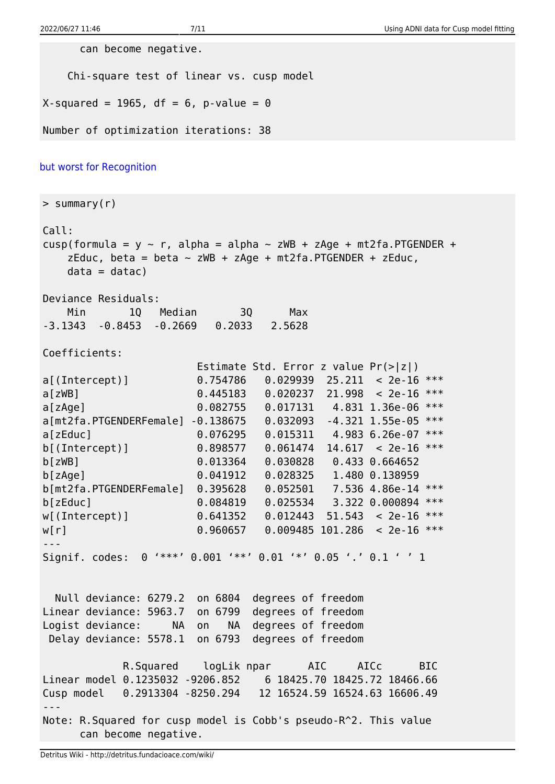can become negative.

Chi-square test of linear vs. cusp model

 $X$ -squared = 1965, df = 6, p-value = 0

Number of optimization iterations: 38

#### [but worst for Recognition](#page--1-0)

> summary(r) Call:

```
cusp(formula = y \sim r, alpha = alpha \sim zWB + zAge + mt2fa.PTGENDER +
   zEduc, beta = beta \sim zWB + zAge + mt2fa.PTGENDER + zEduc,
   data = data)
Deviance Residuals:
    Min 1Q Median 3Q Max
-3.1343 -0.8453 -0.2669 0.2033 2.5628
```
Coefficients:

|                                                                                             |             | Estimate Std. Error z value $Pr(>\vert z \vert)$ |         |                     |       |
|---------------------------------------------------------------------------------------------|-------------|--------------------------------------------------|---------|---------------------|-------|
| $a$ [(Intercept)]                                                                           | 0.754786    | 0.029939                                         | 25.211  | $< 2e-16$           | ***   |
| a[zwB]                                                                                      | 0.445183    | 0.020237                                         | 21.998  | $< 2e-16$           | ***   |
| a[zAge]                                                                                     | 0.082755    | 0.017131                                         |         | 4.831 1.36e-06      | $***$ |
| a[mt2fa.PTGENDERFemale]                                                                     | $-0.138675$ | 0.032093                                         |         | $-4.321$ $1.55e-05$ | ***   |
| a[zEduc]                                                                                    | 0.076295    | 0.015311                                         |         | 4.983 6.26e-07      | ***   |
| $b$ [(Intercept)]                                                                           | 0.898577    | 0.061474                                         |         | $14.617 < 2e-16$    | $***$ |
| b[zwB]                                                                                      | 0.013364    | 0.030828                                         |         | $0.433$ $0.664652$  |       |
| b[zAge]                                                                                     | 0.041912    | 0.028325                                         |         | 1.480 0.138959      |       |
| b[mt2fa.PTGENDERFemale]                                                                     | 0.395628    | 0.052501                                         |         | 7.536 4.86e-14      | ***   |
| b[zeluc]                                                                                    | 0.084819    | 0.025534                                         |         | 3.322 0.000894      | $***$ |
| $w[$ (Intercept)]                                                                           | 0.641352    | 0.012443                                         | 51,543  | $< 2e-16$           | ***   |
| w[r]                                                                                        | 0.960657    | 0.009485                                         | 101.286 | $< 2e-16$           | $***$ |
|                                                                                             |             |                                                  |         |                     |       |
| $1***1$<br>$'$ **' 0.01<br>$'$ *' 0.05 '.' 0.1 ' ' 1<br>0.001<br>Signif. codes:<br>$\Theta$ |             |                                                  |         |                     |       |

 Null deviance: 6279.2 on 6804 degrees of freedom Linear deviance: 5963.7 on 6799 degrees of freedom Logist deviance: NA on NA degrees of freedom Delay deviance: 5578.1 on 6793 degrees of freedom

 R.Squared logLik npar AIC AICc BIC Linear model 0.1235032 -9206.852 6 18425.70 18425.72 18466.66 Cusp model 0.2913304 -8250.294 12 16524.59 16524.63 16606.49 --- Note: R.Squared for cusp model is Cobb's pseudo-R^2. This value can become negative.

Detritus Wiki - http://detritus.fundacioace.com/wiki/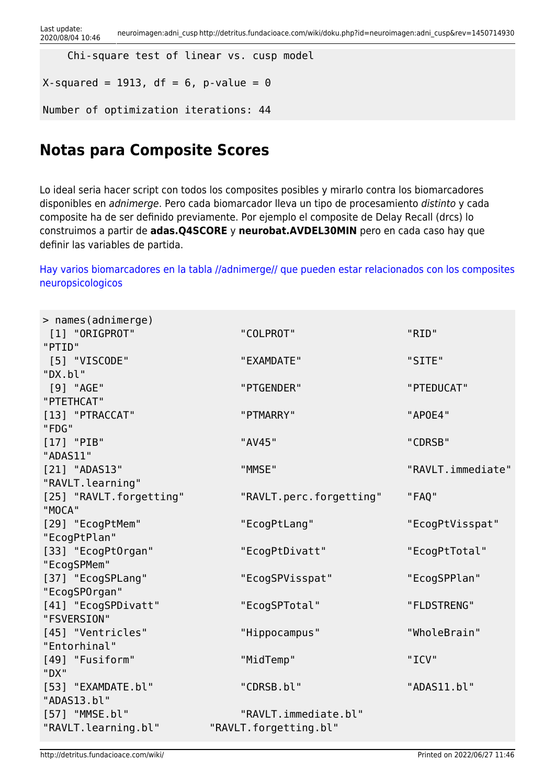```
 Chi-square test of linear vs. cusp model
```

```
X-squared = 1913, df = 6, p-value = 0
```

```
Number of optimization iterations: 44
```
## **Notas para Composite Scores**

Lo ideal seria hacer script con todos los composites posibles y mirarlo contra los biomarcadores disponibles en adnimerge. Pero cada biomarcador lleva un tipo de procesamiento distinto y cada composite ha de ser definido previamente. Por ejemplo el composite de Delay Recall (drcs) lo construimos a partir de **adas.Q4SCORE** y **neurobat.AVDEL30MIN** pero en cada caso hay que definir las variables de partida.

#### [Hay varios biomarcadores en la tabla //adnimerge// que pueden estar relacionados con los composites](#page--1-0) [neuropsicologicos](#page--1-0)

| > names(adnimerge)       |                         |                   |
|--------------------------|-------------------------|-------------------|
| [1] "ORIGPROT"           | "COLPROT"               | "RID"             |
| "PTID"                   |                         |                   |
| [5] "VISCODE"            | "EXAMDATE"              | "SITE"            |
| "DX.bl"                  |                         |                   |
| [9] "AGE"                | "PTGENDER"              | "PTEDUCAT"        |
| "PTETHCAT"               |                         |                   |
| [13] "PTRACCAT"<br>"FDG" | "PTMARRY"               | "AP0E4"           |
| $[17]$ "PIB"             | "AV45"                  | "CDRSB"           |
| "ADAS11"                 |                         |                   |
| [21] "ADAS13"            | "MMSE"                  | "RAVLT.immediate" |
| "RAVLT. learning"        |                         |                   |
| [25] "RAVLT.forgetting"  | "RAVLT.perc.forgetting" | "FAQ"             |
| "MOCA"                   |                         |                   |
| [29] "EcogPtMem"         | "EcogPtLang"            | "EcogPtVisspat"   |
| "EcogPtPlan"             |                         |                   |
| [33] "EcogPtOrgan"       | "EcogPtDivatt"          | "EcogPtTotal"     |
| "EcogSPMem"              |                         |                   |
| [37] "EcogSPLang"        | "EcogSPVisspat"         | "EcogSPPlan"      |
| "EcogSP0rgan"            |                         |                   |
| [41] "EcogSPDivatt"      | "EcogSPTotal"           | "FLDSTRENG"       |
| "FSVERSION"              |                         |                   |
| [45] "Ventricles"        | "Hippocampus"           | "WholeBrain"      |
| "Entorhinal"             |                         |                   |
| [49] "Fusiform"          | "MidTemp"               | "ICV"             |
| "DX"                     |                         |                   |
| [53] "EXAMDATE.bl"       | "CDRSB.bl"              | "ADAS11.bl"       |
| "ADAS13.bl"              |                         |                   |
| [57] "MMSE.bl"           | "RAVLT.immediate.bl"    |                   |
| "RAVLT.learning.bl"      | "RAVLT.forgetting.bl"   |                   |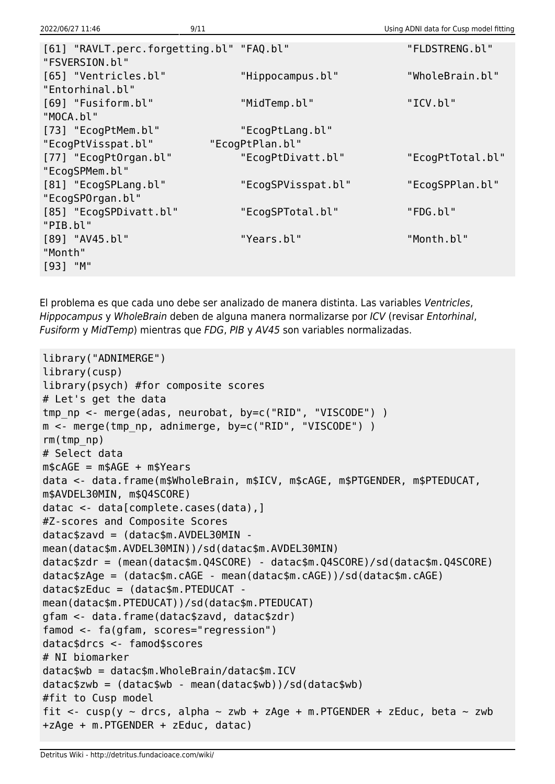| [61] "RAVLT.perc.forgetting.bl" "FAQ.bl" |                    | "FLDSTRENG.bl"   |
|------------------------------------------|--------------------|------------------|
| "FSVERSION.bl"                           |                    |                  |
| [65] "Ventricles.bl"                     | "Hippocampus.bl"   | "WholeBrain.bl"  |
| "Entorhinal.bl"                          |                    |                  |
| [69] "Fusiform.bl"                       | "MidTemp.bl"       | "ICV.bl"         |
| "MOCA.bl"                                |                    |                  |
| [73] "EcogPtMem.bl"                      | "EcogPtLang.bl"    |                  |
| "EcogPtVisspat.bl"                       | "EcogPtPlan.bl"    |                  |
| [77] "EcogPtOrgan.bl"                    | "EcogPtDivatt.bl"  | "EcogPtTotal.bl" |
| "EcogSPMem.bl"                           |                    |                  |
| [81] "EcogSPLang.bl"                     | "EcogSPVisspat.bl" | "EcogSPPlan.bl"  |
| "EcogSPOrgan.bl"                         |                    |                  |
| [85] "EcogSPDivatt.bl"                   | "EcogSPTotal.bl"   | "FDG.bl"         |
| "PIB.bl"                                 |                    |                  |
| [89] "AV45.bl"                           | "Years.bl"         | "Month.bl"       |
| "Month"                                  |                    |                  |
| $[93]$ "M"                               |                    |                  |
|                                          |                    |                  |

El problema es que cada uno debe ser analizado de manera distinta. Las variables Ventricles, Hippocampus y WholeBrain deben de alguna manera normalizarse por ICV (revisar Entorhinal, Fusiform y MidTemp) mientras que FDG, PIB y AV45 son variables normalizadas.

```
library("ADNIMERGE")
library(cusp)
library(psych) #for composite scores
# Let's get the data
tmp np <- merge(adas, neurobat, by=c("RID", "VISCODE") )
m <- merge(tmp_np, adnimerge, by=c("RID", "VISCODE") )
rm(tmp_np)
# Select data
m$cAGE = m$AGE + m$Yearsdata <- data.frame(m$WholeBrain, m$ICV, m$cAGE, m$PTGENDER, m$PTEDUCAT,
m$AVDEL30MIN, m$Q4SCORE)
datac <- data[complete.cases(data),]
#Z-scores and Composite Scores
dataczavd = (datac$m.AVDEL30MIN -
mean(datac$m.AVDEL30MIN))/sd(datac$m.AVDEL30MIN)
datac$zdr = (mean(datac$m.Q4SCORE) - datac$m.Q4SCORE)/sd(datac$m.Q4SCORE)
datac$zAge = (datac$m.cAGE - mean(datac$m.cAGE))/sd(datac$m.cAGE)
datac$zEduc = (datac$m.PTEDUCAT -
mean(datac$m.PTEDUCAT))/sd(datac$m.PTEDUCAT)
gfam <- data.frame(datac$zavd, datac$zdr)
famod <- fa(gfam, scores="regression")
datac$drcs <- famod$scores
# NI biomarker
datac$wb = datac$m.WholeBrain/datac$m.ICV
datac$zwb = (datac$wb - mean(datac$wb))/sd(datac$wb)
#fit to Cusp model
fit <- cusp(y \sim drcs, alpha \sim zwb + zAge + m.PTGENDER + zEduc, beta \sim zwb
+zAge + m.PTGENDER + zEduc, datac)
```
2022/06/27 11:46 9/11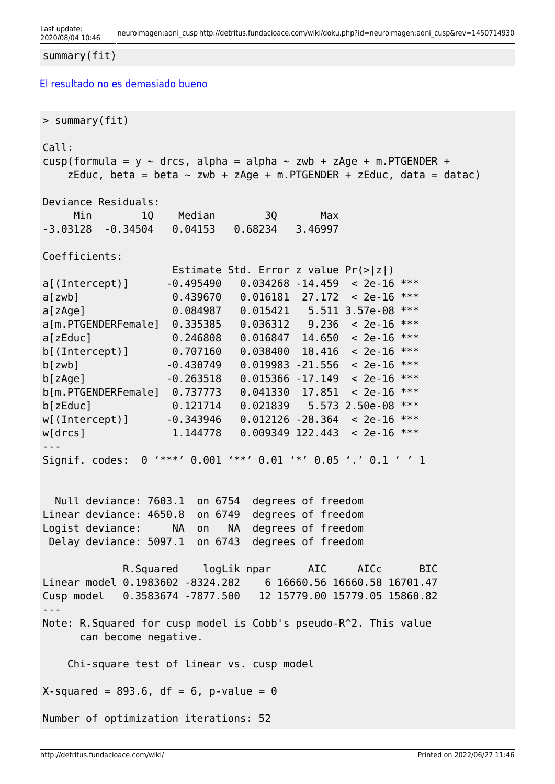```
summary(fit)
```
[El resultado no es demasiado bueno](#page--1-0)

```
> summary(fit)
Call:
cusp(formula = y \sim drcs, alpha = alpha \sim zwb + zAge + m.PTGENDER +
   zEduc, beta = beta \sim zwb + zAge + m. PTGENDER + zEduc, data = datac)
Deviance Residuals:
     Min 1Q Median 3Q Max
-3.03128 -0.34504 0.04153 0.68234 3.46997
Coefficients:
                   Estimate Std. Error z value Pr(>|z|)
a[(Intercept)] -0.495490 0.034268 -14.459 < 2e-16 ***
a[zwb] 0.439670 0.016181 27.172 < 2e-16 ***
a[zAge] 0.084987 0.015421 5.511 3.57e-08 ***
a[m.PTGENDERFemale] 0.335385 0.036312 9.236 < 2e-16 ***
a[zEduc] 0.246808 0.016847 14.650 < 2e-16 ***
b[(Intercept)] 0.707160 0.038400 18.416 < 2e-16 ***
b[zwb] -0.430749 0.019983 -21.556 < 2e-16 ***
b[zAqe] -0.263518 0.015366 -17.149 < 2e-16 ***
b[m.PTGENDERFemale] 0.737773 0.041330 17.851 < 2e-16 ***
b[zEduc] 0.121714 0.021839 5.573 2.50e-08 ***
w[(Intercept)] -0.343946 0.012126 -28.364 < 2e-16 ***
w[drcs] 1.144778 0.009349 122.443 < 2e-16 ***
---
Signif. codes: 0 '***' 0.001 '**' 0.01 '*' 0.05 '.' 0.1 ' ' 1
  Null deviance: 7603.1 on 6754 degrees of freedom
Linear deviance: 4650.8 on 6749 degrees of freedom
Logist deviance: NA on NA degrees of freedom
 Delay deviance: 5097.1 on 6743 degrees of freedom
            R.Squared logLik npar AIC AICc BIC
Linear model 0.1983602 -8324.282 6 16660.56 16660.58 16701.47
Cusp model 0.3583674 -7877.500 12 15779.00 15779.05 15860.82
---
Note: R.Squared for cusp model is Cobb's pseudo-R^2. This value
      can become negative.
    Chi-square test of linear vs. cusp model
X-squared = 893.6, df = 6, p-value = 0
Number of optimization iterations: 52
```